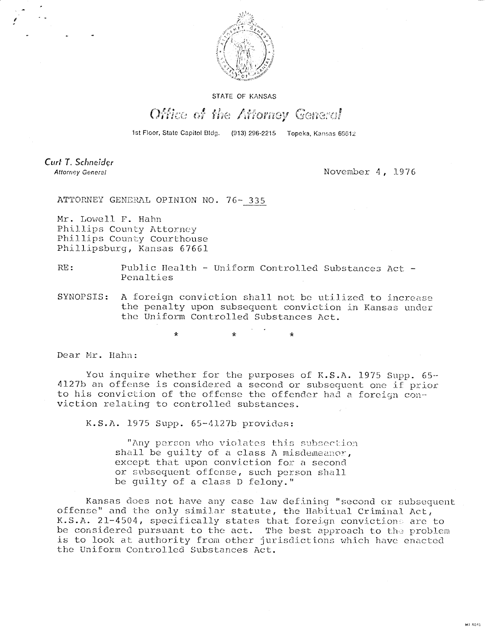

## STATE OF KANSAS

## Office of the Attorney General

1st Floor, State Capitol Bldg. (913) 296-2215 Topeka, Kansas 65612

Curt T. Schneider **Attorney General** 

November 4, 1976

Milanese.

ATTORNEY GENERAL OPINION NO. 76- 335

Mr. Lowell F. Hahn Phillips County Attorney Phillips County Courthouse Phillipsburg, Kansas 67661

RE: Public Health - Uniform Controlled Substances Act - Penalties

SYNOPSIS: A foreign conviction shall not be utilized to increase the penalty upon subsequent conviction in Kansas under the Uniform Controlled Substances Act.

\* \*

Dear Mr. Hahn:

You inquire whether for the purposes of K.S.A. 1975 Supp. 65-4127b an offense is considered a second or subsequent one if prior to his conviction of the offense the offender had a foreign conviction relating to controlled substances.

K.S.A. 1975 Supp. 65-4127b provides:

"Any person who violates this subsection shall be guilty of a class A misdemeanor, except that upon conviction for a second or subsequent offense, such person shall be guilty of a class D felony."

Kansas does not have any case law defining "second or subsequent offense" and the only similar statute, the Habitual Criminal Act, K.S.A. 21-4504, specifically states that foreign convictions are to be considered pursuant to the act. The best approach to the problem is to look at authority from other jurisdictions which have enacted the Uniform Controlled Substances Act.